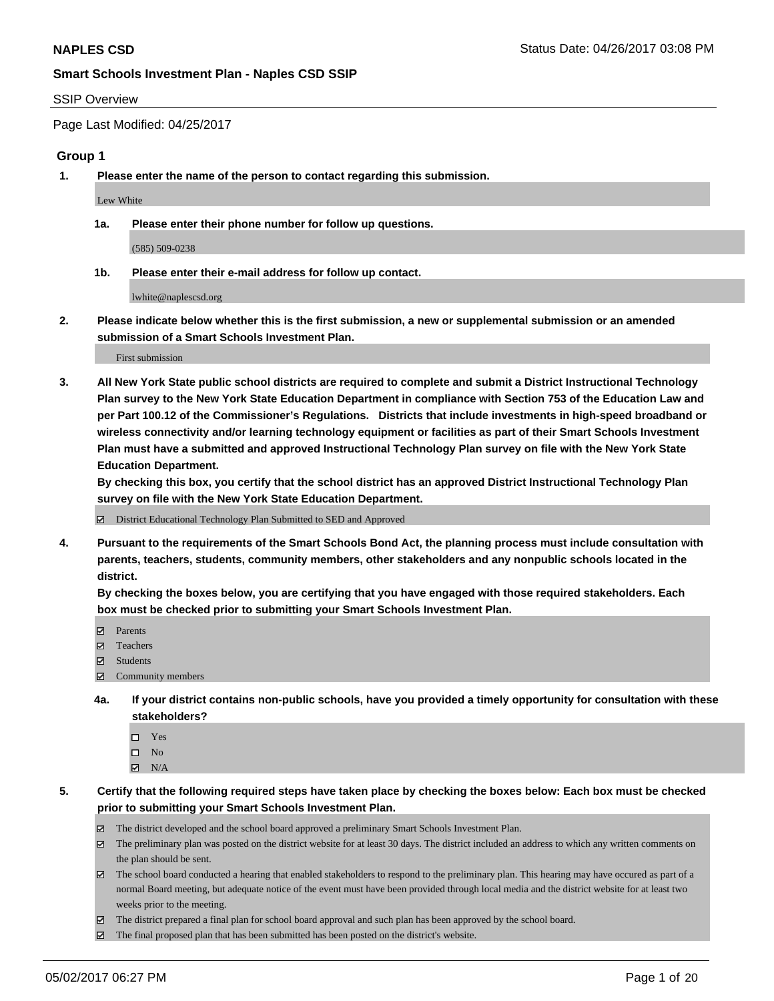#### SSIP Overview

Page Last Modified: 04/25/2017

#### **Group 1**

**1. Please enter the name of the person to contact regarding this submission.**

Lew White

**1a. Please enter their phone number for follow up questions.**

(585) 509-0238

**1b. Please enter their e-mail address for follow up contact.**

lwhite@naplescsd.org

**2. Please indicate below whether this is the first submission, a new or supplemental submission or an amended submission of a Smart Schools Investment Plan.**

First submission

**3. All New York State public school districts are required to complete and submit a District Instructional Technology Plan survey to the New York State Education Department in compliance with Section 753 of the Education Law and per Part 100.12 of the Commissioner's Regulations. Districts that include investments in high-speed broadband or wireless connectivity and/or learning technology equipment or facilities as part of their Smart Schools Investment Plan must have a submitted and approved Instructional Technology Plan survey on file with the New York State Education Department.** 

**By checking this box, you certify that the school district has an approved District Instructional Technology Plan survey on file with the New York State Education Department.**

District Educational Technology Plan Submitted to SED and Approved

**4. Pursuant to the requirements of the Smart Schools Bond Act, the planning process must include consultation with parents, teachers, students, community members, other stakeholders and any nonpublic schools located in the district.** 

**By checking the boxes below, you are certifying that you have engaged with those required stakeholders. Each box must be checked prior to submitting your Smart Schools Investment Plan.**

- **マ** Parents
- □ Teachers
- Students
- $\Xi$  Community members
- **4a. If your district contains non-public schools, have you provided a timely opportunity for consultation with these stakeholders?**
	- Yes
	- $\hfill \square$  No
	- $\boxtimes$  N/A
- **5. Certify that the following required steps have taken place by checking the boxes below: Each box must be checked prior to submitting your Smart Schools Investment Plan.**
	- The district developed and the school board approved a preliminary Smart Schools Investment Plan.
	- $\boxtimes$  The preliminary plan was posted on the district website for at least 30 days. The district included an address to which any written comments on the plan should be sent.
	- $\boxtimes$  The school board conducted a hearing that enabled stakeholders to respond to the preliminary plan. This hearing may have occured as part of a normal Board meeting, but adequate notice of the event must have been provided through local media and the district website for at least two weeks prior to the meeting.
	- The district prepared a final plan for school board approval and such plan has been approved by the school board.
	- $\boxtimes$  The final proposed plan that has been submitted has been posted on the district's website.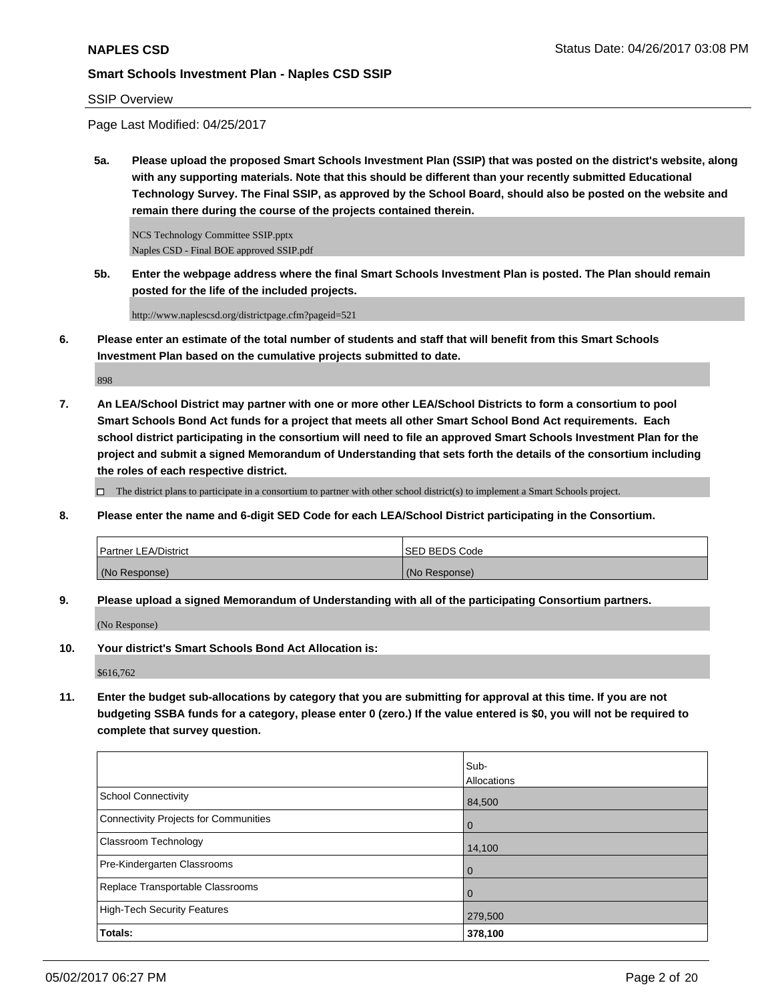#### SSIP Overview

Page Last Modified: 04/25/2017

**5a. Please upload the proposed Smart Schools Investment Plan (SSIP) that was posted on the district's website, along with any supporting materials. Note that this should be different than your recently submitted Educational Technology Survey. The Final SSIP, as approved by the School Board, should also be posted on the website and remain there during the course of the projects contained therein.**

NCS Technology Committee SSIP.pptx Naples CSD - Final BOE approved SSIP.pdf

**5b. Enter the webpage address where the final Smart Schools Investment Plan is posted. The Plan should remain posted for the life of the included projects.**

http://www.naplescsd.org/districtpage.cfm?pageid=521

**6. Please enter an estimate of the total number of students and staff that will benefit from this Smart Schools Investment Plan based on the cumulative projects submitted to date.**

898

**7. An LEA/School District may partner with one or more other LEA/School Districts to form a consortium to pool Smart Schools Bond Act funds for a project that meets all other Smart School Bond Act requirements. Each school district participating in the consortium will need to file an approved Smart Schools Investment Plan for the project and submit a signed Memorandum of Understanding that sets forth the details of the consortium including the roles of each respective district.**

 $\Box$  The district plans to participate in a consortium to partner with other school district(s) to implement a Smart Schools project.

**8. Please enter the name and 6-digit SED Code for each LEA/School District participating in the Consortium.**

| <b>Partner LEA/District</b> | <b>ISED BEDS Code</b> |
|-----------------------------|-----------------------|
| (No Response)               | (No Response)         |

**9. Please upload a signed Memorandum of Understanding with all of the participating Consortium partners.**

(No Response)

**10. Your district's Smart Schools Bond Act Allocation is:**

\$616,762

**11. Enter the budget sub-allocations by category that you are submitting for approval at this time. If you are not budgeting SSBA funds for a category, please enter 0 (zero.) If the value entered is \$0, you will not be required to complete that survey question.**

|                                       | Sub-               |
|---------------------------------------|--------------------|
|                                       | <b>Allocations</b> |
| <b>School Connectivity</b>            | 84,500             |
| Connectivity Projects for Communities | $\overline{0}$     |
| <b>Classroom Technology</b>           | 14,100             |
| Pre-Kindergarten Classrooms           | $\overline{0}$     |
| Replace Transportable Classrooms      | $\Omega$           |
| High-Tech Security Features           | 279,500            |
| Totals:                               | 378,100            |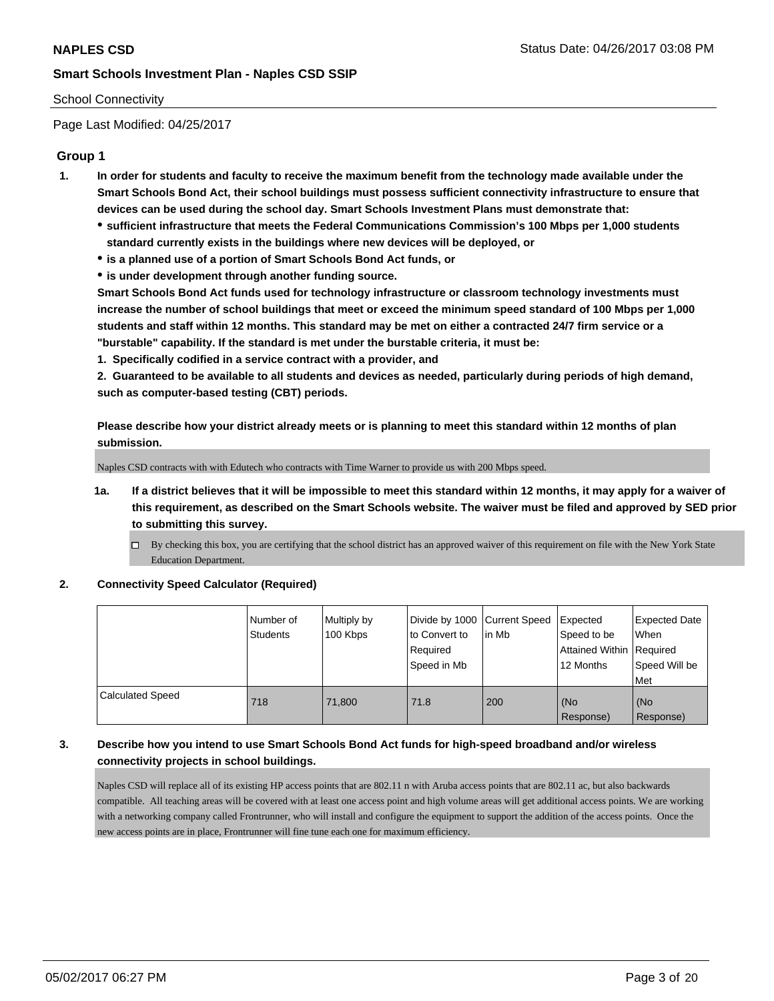## School Connectivity

Page Last Modified: 04/25/2017

# **Group 1**

- **1. In order for students and faculty to receive the maximum benefit from the technology made available under the Smart Schools Bond Act, their school buildings must possess sufficient connectivity infrastructure to ensure that devices can be used during the school day. Smart Schools Investment Plans must demonstrate that:**
	- **sufficient infrastructure that meets the Federal Communications Commission's 100 Mbps per 1,000 students standard currently exists in the buildings where new devices will be deployed, or**
	- **is a planned use of a portion of Smart Schools Bond Act funds, or**
	- **is under development through another funding source.**

**Smart Schools Bond Act funds used for technology infrastructure or classroom technology investments must increase the number of school buildings that meet or exceed the minimum speed standard of 100 Mbps per 1,000 students and staff within 12 months. This standard may be met on either a contracted 24/7 firm service or a "burstable" capability. If the standard is met under the burstable criteria, it must be:**

**1. Specifically codified in a service contract with a provider, and**

**2. Guaranteed to be available to all students and devices as needed, particularly during periods of high demand, such as computer-based testing (CBT) periods.**

**Please describe how your district already meets or is planning to meet this standard within 12 months of plan submission.**

Naples CSD contracts with with Edutech who contracts with Time Warner to provide us with 200 Mbps speed.

- **1a. If a district believes that it will be impossible to meet this standard within 12 months, it may apply for a waiver of this requirement, as described on the Smart Schools website. The waiver must be filed and approved by SED prior to submitting this survey.**
	- By checking this box, you are certifying that the school district has an approved waiver of this requirement on file with the New York State Education Department.

#### **2. Connectivity Speed Calculator (Required)**

|                         | l Number of<br>Students | Multiply by<br>100 Kbps | Divide by 1000   Current Speed<br>to Convert to<br>Required<br>Speed in Mb | l in Mb | Expected<br>Speed to be<br>Attained Within   Required<br>12 Months | <b>Expected Date</b><br>When<br>Speed Will be<br>Met |
|-------------------------|-------------------------|-------------------------|----------------------------------------------------------------------------|---------|--------------------------------------------------------------------|------------------------------------------------------|
| <b>Calculated Speed</b> | 718                     | 71.800                  | 71.8                                                                       | 200     | (No<br>Response)                                                   | (No<br>Response)                                     |

# **3. Describe how you intend to use Smart Schools Bond Act funds for high-speed broadband and/or wireless connectivity projects in school buildings.**

Naples CSD will replace all of its existing HP access points that are 802.11 n with Aruba access points that are 802.11 ac, but also backwards compatible. All teaching areas will be covered with at least one access point and high volume areas will get additional access points. We are working with a networking company called Frontrunner, who will install and configure the equipment to support the addition of the access points. Once the new access points are in place, Frontrunner will fine tune each one for maximum efficiency.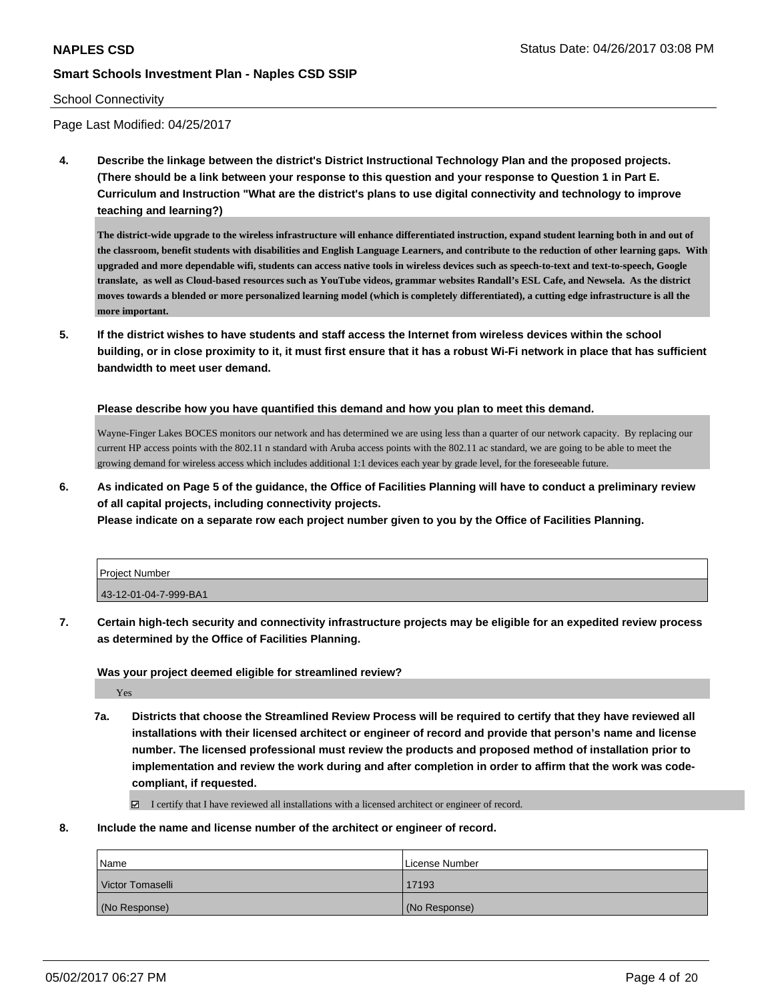#### School Connectivity

Page Last Modified: 04/25/2017

**4. Describe the linkage between the district's District Instructional Technology Plan and the proposed projects. (There should be a link between your response to this question and your response to Question 1 in Part E. Curriculum and Instruction "What are the district's plans to use digital connectivity and technology to improve teaching and learning?)**

**The district-wide upgrade to the wireless infrastructure will enhance differentiated instruction, expand student learning both in and out of the classroom, benefit students with disabilities and English Language Learners, and contribute to the reduction of other learning gaps. With upgraded and more dependable wifi, students can access native tools in wireless devices such as speech-to-text and text-to-speech, Google translate, as well as Cloud-based resources such as YouTube videos, grammar websites Randall's ESL Cafe, and Newsela. As the district moves towards a blended or more personalized learning model (which is completely differentiated), a cutting edge infrastructure is all the more important.**

**5. If the district wishes to have students and staff access the Internet from wireless devices within the school building, or in close proximity to it, it must first ensure that it has a robust Wi-Fi network in place that has sufficient bandwidth to meet user demand.**

**Please describe how you have quantified this demand and how you plan to meet this demand.**

Wayne-Finger Lakes BOCES monitors our network and has determined we are using less than a quarter of our network capacity. By replacing our current HP access points with the 802.11 n standard with Aruba access points with the 802.11 ac standard, we are going to be able to meet the growing demand for wireless access which includes additional 1:1 devices each year by grade level, for the foreseeable future.

**6. As indicated on Page 5 of the guidance, the Office of Facilities Planning will have to conduct a preliminary review of all capital projects, including connectivity projects.**

**Please indicate on a separate row each project number given to you by the Office of Facilities Planning.**

| Project Number        |  |
|-----------------------|--|
| 43-12-01-04-7-999-BA1 |  |

**7. Certain high-tech security and connectivity infrastructure projects may be eligible for an expedited review process as determined by the Office of Facilities Planning.**

**Was your project deemed eligible for streamlined review?**

Yes

**7a. Districts that choose the Streamlined Review Process will be required to certify that they have reviewed all installations with their licensed architect or engineer of record and provide that person's name and license number. The licensed professional must review the products and proposed method of installation prior to implementation and review the work during and after completion in order to affirm that the work was codecompliant, if requested.**

I certify that I have reviewed all installations with a licensed architect or engineer of record.

**8. Include the name and license number of the architect or engineer of record.**

| Name             | License Number |
|------------------|----------------|
| Victor Tomaselli | 17193          |
| (No Response)    | (No Response)  |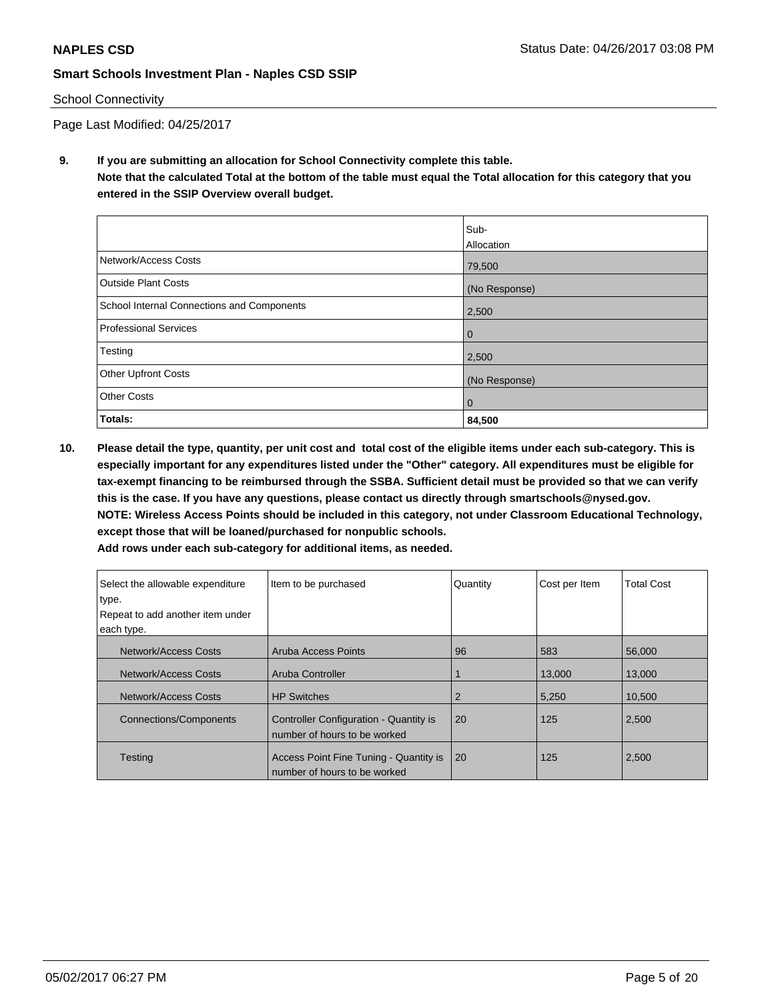## School Connectivity

Page Last Modified: 04/25/2017

**9. If you are submitting an allocation for School Connectivity complete this table. Note that the calculated Total at the bottom of the table must equal the Total allocation for this category that you entered in the SSIP Overview overall budget.** 

|                                            | Sub-          |
|--------------------------------------------|---------------|
|                                            | Allocation    |
| Network/Access Costs                       | 79,500        |
| <b>Outside Plant Costs</b>                 | (No Response) |
| School Internal Connections and Components | 2,500         |
| <b>Professional Services</b>               | 0             |
| Testing                                    | 2,500         |
| <b>Other Upfront Costs</b>                 | (No Response) |
| <b>Other Costs</b>                         | $\mathbf 0$   |
| Totals:                                    | 84,500        |

**10. Please detail the type, quantity, per unit cost and total cost of the eligible items under each sub-category. This is especially important for any expenditures listed under the "Other" category. All expenditures must be eligible for tax-exempt financing to be reimbursed through the SSBA. Sufficient detail must be provided so that we can verify this is the case. If you have any questions, please contact us directly through smartschools@nysed.gov. NOTE: Wireless Access Points should be included in this category, not under Classroom Educational Technology, except those that will be loaned/purchased for nonpublic schools.**

|                                           | <u>- au Tows unuer each sub-calegory for auditional Items, as neeueu.</u> |          |               |                   |
|-------------------------------------------|---------------------------------------------------------------------------|----------|---------------|-------------------|
| Select the allowable expenditure<br>type. | Item to be purchased                                                      | Quantity | Cost per Item | <b>Total Cost</b> |
| Repeat to add another item under          |                                                                           |          |               |                   |
| each type.                                |                                                                           |          |               |                   |
| Network/Access Costs                      | Aruba Access Points                                                       | 96       | 583           | 56,000            |
| Network/Access Costs                      | Aruba Controller                                                          |          | 13,000        | 13,000            |
| Network/Access Costs                      | <b>HP Switches</b>                                                        | 2        | 5,250         | 10,500            |
| <b>Connections/Components</b>             | Controller Configuration - Quantity is<br>number of hours to be worked    | 20       | 125           | 2,500             |
| <b>Testing</b>                            | Access Point Fine Tuning - Quantity is<br>number of hours to be worked    | 20       | 125           | 2,500             |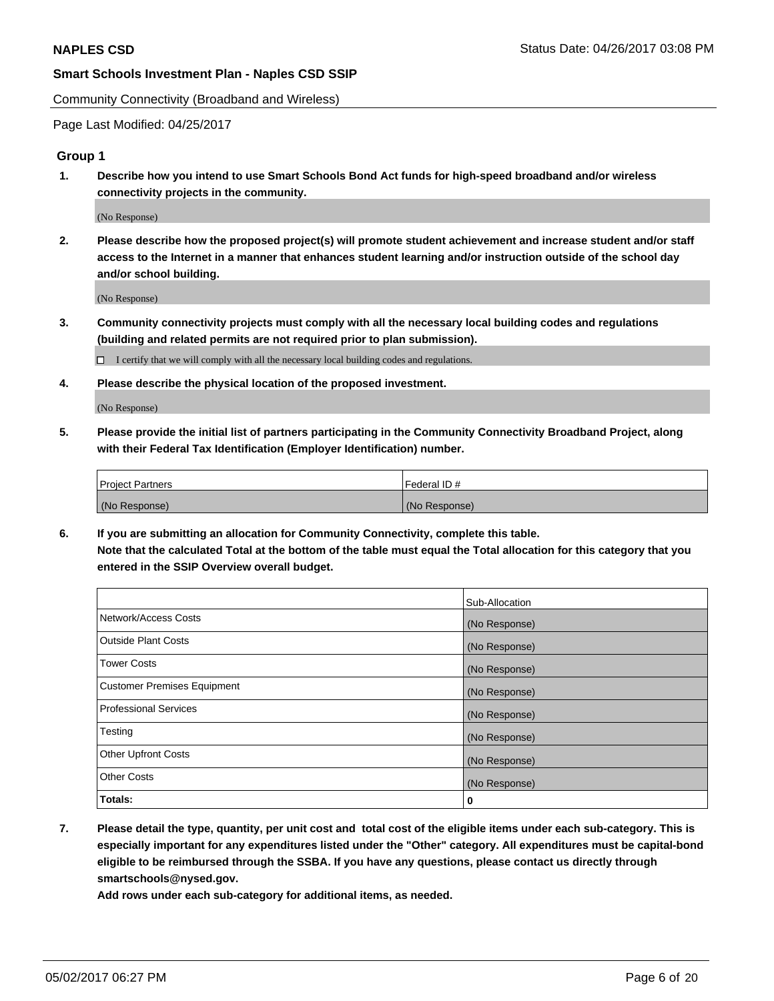Community Connectivity (Broadband and Wireless)

Page Last Modified: 04/25/2017

## **Group 1**

**1. Describe how you intend to use Smart Schools Bond Act funds for high-speed broadband and/or wireless connectivity projects in the community.**

(No Response)

**2. Please describe how the proposed project(s) will promote student achievement and increase student and/or staff access to the Internet in a manner that enhances student learning and/or instruction outside of the school day and/or school building.**

(No Response)

**3. Community connectivity projects must comply with all the necessary local building codes and regulations (building and related permits are not required prior to plan submission).**

 $\Box$  I certify that we will comply with all the necessary local building codes and regulations.

**4. Please describe the physical location of the proposed investment.**

(No Response)

**5. Please provide the initial list of partners participating in the Community Connectivity Broadband Project, along with their Federal Tax Identification (Employer Identification) number.**

| <b>Project Partners</b> | Federal ID#     |
|-------------------------|-----------------|
| (No Response)           | l (No Response) |

**6. If you are submitting an allocation for Community Connectivity, complete this table. Note that the calculated Total at the bottom of the table must equal the Total allocation for this category that you entered in the SSIP Overview overall budget.**

|                                    | Sub-Allocation |
|------------------------------------|----------------|
| Network/Access Costs               | (No Response)  |
| Outside Plant Costs                | (No Response)  |
| <b>Tower Costs</b>                 | (No Response)  |
| <b>Customer Premises Equipment</b> | (No Response)  |
| <b>Professional Services</b>       | (No Response)  |
| Testing                            | (No Response)  |
| <b>Other Upfront Costs</b>         | (No Response)  |
| <b>Other Costs</b>                 | (No Response)  |
| Totals:                            | 0              |

**7. Please detail the type, quantity, per unit cost and total cost of the eligible items under each sub-category. This is especially important for any expenditures listed under the "Other" category. All expenditures must be capital-bond eligible to be reimbursed through the SSBA. If you have any questions, please contact us directly through smartschools@nysed.gov.**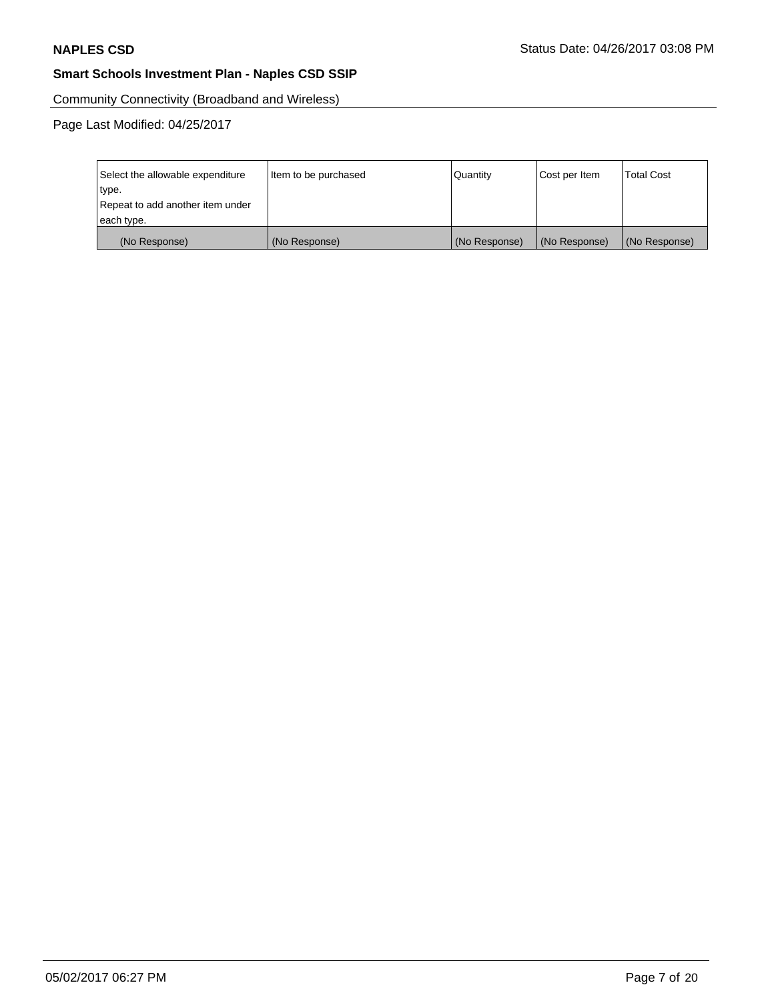Community Connectivity (Broadband and Wireless)

| Select the allowable expenditure | Item to be purchased | Quantity      | Cost per Item | <b>Total Cost</b> |
|----------------------------------|----------------------|---------------|---------------|-------------------|
| type.                            |                      |               |               |                   |
| Repeat to add another item under |                      |               |               |                   |
| each type.                       |                      |               |               |                   |
| (No Response)                    | (No Response)        | (No Response) | (No Response) | (No Response)     |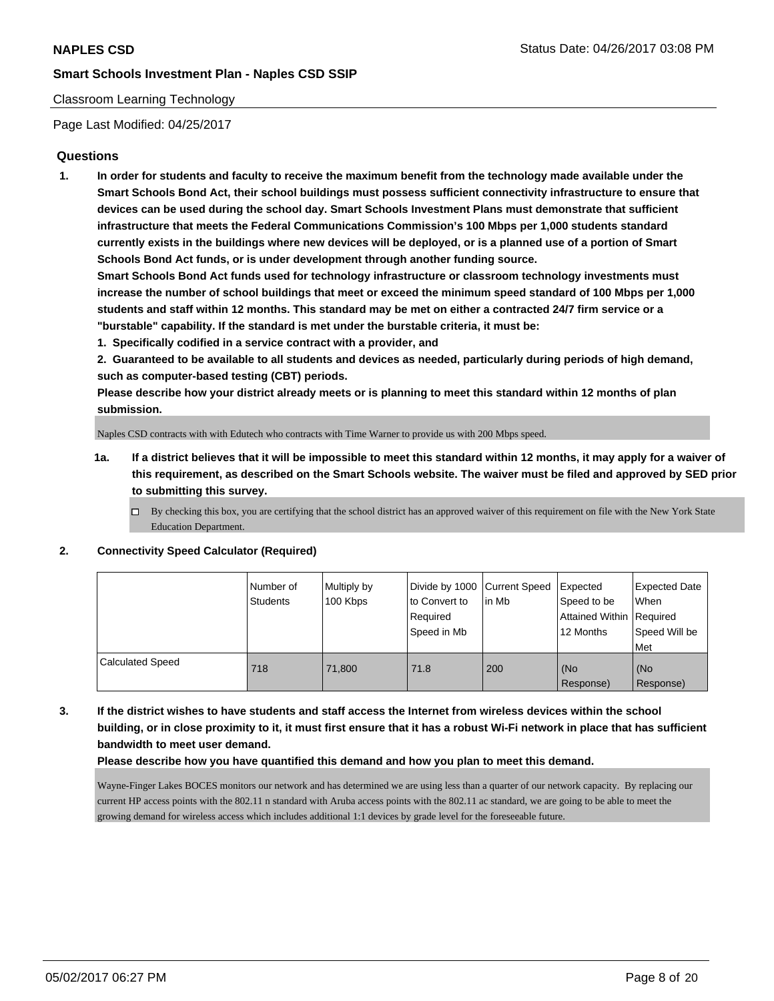## Classroom Learning Technology

Page Last Modified: 04/25/2017

# **Questions**

**1. In order for students and faculty to receive the maximum benefit from the technology made available under the Smart Schools Bond Act, their school buildings must possess sufficient connectivity infrastructure to ensure that devices can be used during the school day. Smart Schools Investment Plans must demonstrate that sufficient infrastructure that meets the Federal Communications Commission's 100 Mbps per 1,000 students standard currently exists in the buildings where new devices will be deployed, or is a planned use of a portion of Smart Schools Bond Act funds, or is under development through another funding source.**

**Smart Schools Bond Act funds used for technology infrastructure or classroom technology investments must increase the number of school buildings that meet or exceed the minimum speed standard of 100 Mbps per 1,000 students and staff within 12 months. This standard may be met on either a contracted 24/7 firm service or a "burstable" capability. If the standard is met under the burstable criteria, it must be:**

**1. Specifically codified in a service contract with a provider, and**

**2. Guaranteed to be available to all students and devices as needed, particularly during periods of high demand, such as computer-based testing (CBT) periods.**

**Please describe how your district already meets or is planning to meet this standard within 12 months of plan submission.**

Naples CSD contracts with with Edutech who contracts with Time Warner to provide us with 200 Mbps speed.

- **1a. If a district believes that it will be impossible to meet this standard within 12 months, it may apply for a waiver of this requirement, as described on the Smart Schools website. The waiver must be filed and approved by SED prior to submitting this survey.**
	- $\Box$  By checking this box, you are certifying that the school district has an approved waiver of this requirement on file with the New York State Education Department.

#### **2. Connectivity Speed Calculator (Required)**

|                         | l Number of<br>Students | Multiply by<br>100 Kbps | Divide by 1000   Current Speed<br>to Convert to<br>Required<br>Speed in Mb | lin Mb | Expected<br>Speed to be<br>Attained Within   Required<br>12 Months | <b>Expected Date</b><br>When<br>Speed Will be<br>Met |
|-------------------------|-------------------------|-------------------------|----------------------------------------------------------------------------|--------|--------------------------------------------------------------------|------------------------------------------------------|
| <b>Calculated Speed</b> | 718                     | 71.800                  | 71.8                                                                       | 200    | (No<br>Response)                                                   | (No<br>Response)                                     |

**3. If the district wishes to have students and staff access the Internet from wireless devices within the school building, or in close proximity to it, it must first ensure that it has a robust Wi-Fi network in place that has sufficient bandwidth to meet user demand.**

#### **Please describe how you have quantified this demand and how you plan to meet this demand.**

Wayne-Finger Lakes BOCES monitors our network and has determined we are using less than a quarter of our network capacity. By replacing our current HP access points with the 802.11 n standard with Aruba access points with the 802.11 ac standard, we are going to be able to meet the growing demand for wireless access which includes additional 1:1 devices by grade level for the foreseeable future.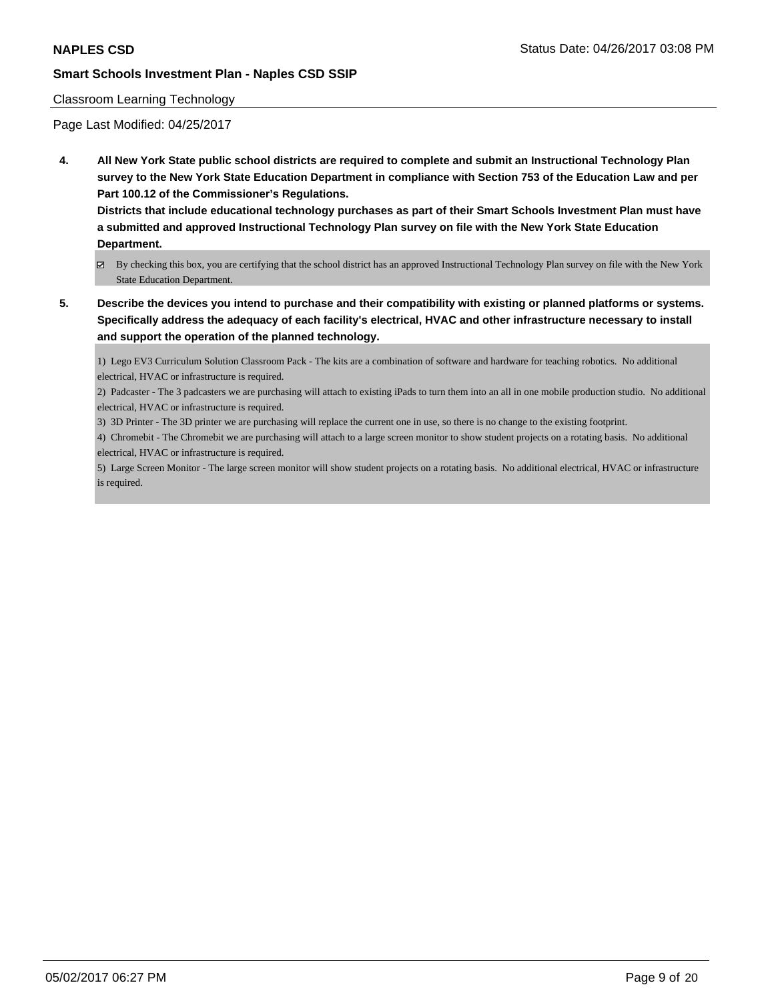#### Classroom Learning Technology

Page Last Modified: 04/25/2017

**4. All New York State public school districts are required to complete and submit an Instructional Technology Plan survey to the New York State Education Department in compliance with Section 753 of the Education Law and per Part 100.12 of the Commissioner's Regulations.**

**Districts that include educational technology purchases as part of their Smart Schools Investment Plan must have a submitted and approved Instructional Technology Plan survey on file with the New York State Education Department.**

- By checking this box, you are certifying that the school district has an approved Instructional Technology Plan survey on file with the New York State Education Department.
- **5. Describe the devices you intend to purchase and their compatibility with existing or planned platforms or systems. Specifically address the adequacy of each facility's electrical, HVAC and other infrastructure necessary to install and support the operation of the planned technology.**

1) Lego EV3 Curriculum Solution Classroom Pack - The kits are a combination of software and hardware for teaching robotics. No additional electrical, HVAC or infrastructure is required.

2) Padcaster - The 3 padcasters we are purchasing will attach to existing iPads to turn them into an all in one mobile production studio. No additional electrical, HVAC or infrastructure is required.

3) 3D Printer - The 3D printer we are purchasing will replace the current one in use, so there is no change to the existing footprint.

4) Chromebit - The Chromebit we are purchasing will attach to a large screen monitor to show student projects on a rotating basis. No additional electrical, HVAC or infrastructure is required.

5) Large Screen Monitor - The large screen monitor will show student projects on a rotating basis. No additional electrical, HVAC or infrastructure is required.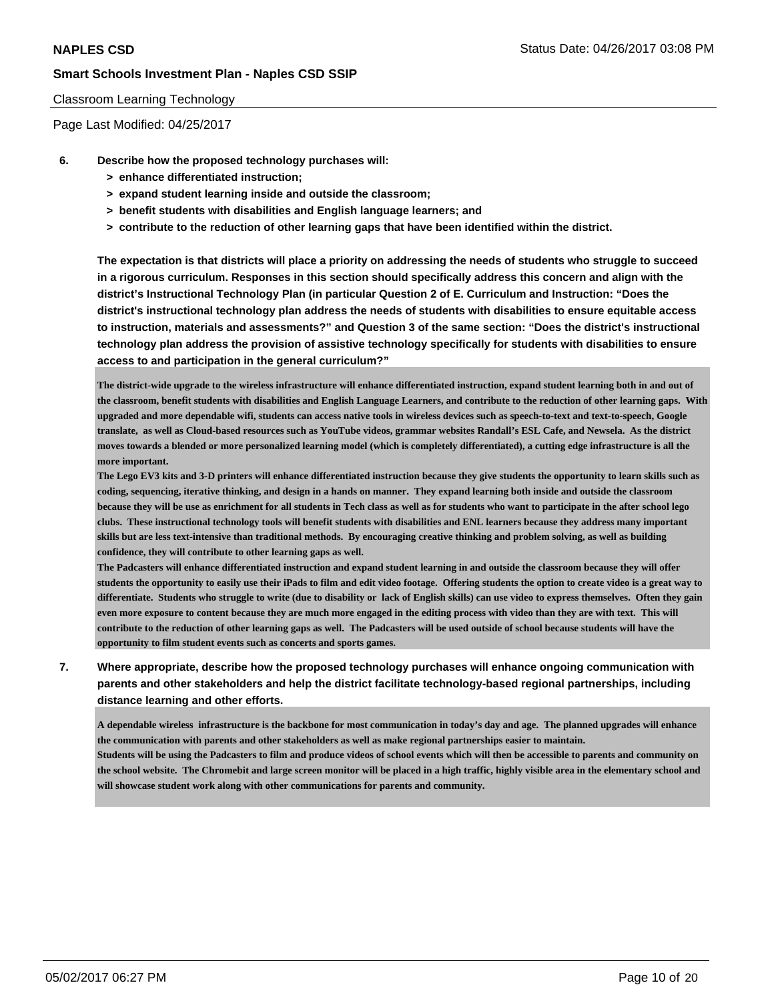#### Classroom Learning Technology

Page Last Modified: 04/25/2017

- **6. Describe how the proposed technology purchases will:**
	- **> enhance differentiated instruction;**
	- **> expand student learning inside and outside the classroom;**
	- **> benefit students with disabilities and English language learners; and**
	- **> contribute to the reduction of other learning gaps that have been identified within the district.**

**The expectation is that districts will place a priority on addressing the needs of students who struggle to succeed in a rigorous curriculum. Responses in this section should specifically address this concern and align with the district's Instructional Technology Plan (in particular Question 2 of E. Curriculum and Instruction: "Does the district's instructional technology plan address the needs of students with disabilities to ensure equitable access to instruction, materials and assessments?" and Question 3 of the same section: "Does the district's instructional technology plan address the provision of assistive technology specifically for students with disabilities to ensure access to and participation in the general curriculum?"**

**The district-wide upgrade to the wireless infrastructure will enhance differentiated instruction, expand student learning both in and out of the classroom, benefit students with disabilities and English Language Learners, and contribute to the reduction of other learning gaps. With upgraded and more dependable wifi, students can access native tools in wireless devices such as speech-to-text and text-to-speech, Google translate, as well as Cloud-based resources such as YouTube videos, grammar websites Randall's ESL Cafe, and Newsela. As the district moves towards a blended or more personalized learning model (which is completely differentiated), a cutting edge infrastructure is all the more important.**

**The Lego EV3 kits and 3-D printers will enhance differentiated instruction because they give students the opportunity to learn skills such as coding, sequencing, iterative thinking, and design in a hands on manner. They expand learning both inside and outside the classroom because they will be use as enrichment for all students in Tech class as well as for students who want to participate in the after school lego clubs. These instructional technology tools will benefit students with disabilities and ENL learners because they address many important skills but are less text-intensive than traditional methods. By encouraging creative thinking and problem solving, as well as building confidence, they will contribute to other learning gaps as well.** 

**The Padcasters will enhance differentiated instruction and expand student learning in and outside the classroom because they will offer students the opportunity to easily use their iPads to film and edit video footage. Offering students the option to create video is a great way to differentiate. Students who struggle to write (due to disability or lack of English skills) can use video to express themselves. Often they gain even more exposure to content because they are much more engaged in the editing process with video than they are with text. This will contribute to the reduction of other learning gaps as well. The Padcasters will be used outside of school because students will have the opportunity to film student events such as concerts and sports games.**

**7. Where appropriate, describe how the proposed technology purchases will enhance ongoing communication with parents and other stakeholders and help the district facilitate technology-based regional partnerships, including distance learning and other efforts.**

**A dependable wireless infrastructure is the backbone for most communication in today's day and age. The planned upgrades will enhance the communication with parents and other stakeholders as well as make regional partnerships easier to maintain. Students will be using the Padcasters to film and produce videos of school events which will then be accessible to parents and community on the school website. The Chromebit and large screen monitor will be placed in a high traffic, highly visible area in the elementary school and will showcase student work along with other communications for parents and community.**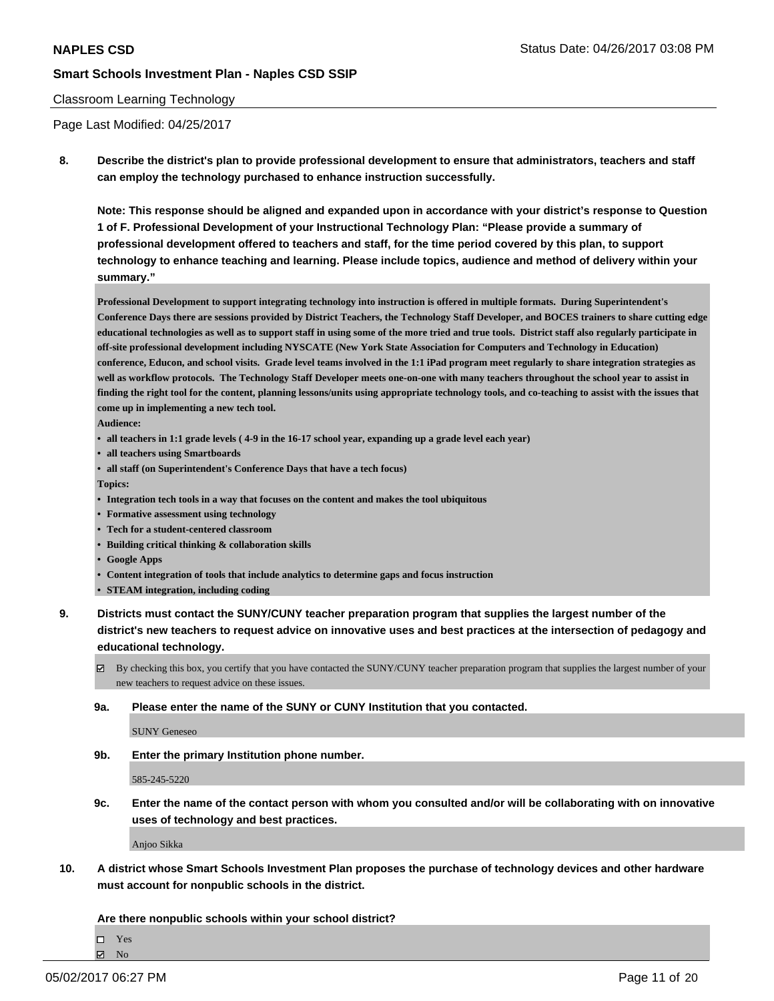#### Classroom Learning Technology

Page Last Modified: 04/25/2017

**8. Describe the district's plan to provide professional development to ensure that administrators, teachers and staff can employ the technology purchased to enhance instruction successfully.**

**Note: This response should be aligned and expanded upon in accordance with your district's response to Question 1 of F. Professional Development of your Instructional Technology Plan: "Please provide a summary of professional development offered to teachers and staff, for the time period covered by this plan, to support technology to enhance teaching and learning. Please include topics, audience and method of delivery within your summary."**

**Professional Development to support integrating technology into instruction is offered in multiple formats. During Superintendent's Conference Days there are sessions provided by District Teachers, the Technology Staff Developer, and BOCES trainers to share cutting edge educational technologies as well as to support staff in using some of the more tried and true tools. District staff also regularly participate in off-site professional development including NYSCATE (New York State Association for Computers and Technology in Education) conference, Educon, and school visits. Grade level teams involved in the 1:1 iPad program meet regularly to share integration strategies as well as workflow protocols. The Technology Staff Developer meets one-on-one with many teachers throughout the school year to assist in finding the right tool for the content, planning lessons/units using appropriate technology tools, and co-teaching to assist with the issues that come up in implementing a new tech tool.**

**Audience:**

- **• all teachers in 1:1 grade levels ( 4-9 in the 16-17 school year, expanding up a grade level each year)**
- **• all teachers using Smartboards**
- **• all staff (on Superintendent's Conference Days that have a tech focus)**

**Topics:**

- **• Integration tech tools in a way that focuses on the content and makes the tool ubiquitous**
- **• Formative assessment using technology**
- **• Tech for a student-centered classroom**
- **• Building critical thinking & collaboration skills**
- **• Google Apps**
- **• Content integration of tools that include analytics to determine gaps and focus instruction**
- **• STEAM integration, including coding**
- **9. Districts must contact the SUNY/CUNY teacher preparation program that supplies the largest number of the district's new teachers to request advice on innovative uses and best practices at the intersection of pedagogy and educational technology.**
	- $\boxtimes$  By checking this box, you certify that you have contacted the SUNY/CUNY teacher preparation program that supplies the largest number of your new teachers to request advice on these issues.
	- **9a. Please enter the name of the SUNY or CUNY Institution that you contacted.**

SUNY Geneseo

**9b. Enter the primary Institution phone number.**

585-245-5220

**9c. Enter the name of the contact person with whom you consulted and/or will be collaborating with on innovative uses of technology and best practices.**

Anjoo Sikka

**10. A district whose Smart Schools Investment Plan proposes the purchase of technology devices and other hardware must account for nonpublic schools in the district.**

**Are there nonpublic schools within your school district?**

Yes

 $\boxtimes$  No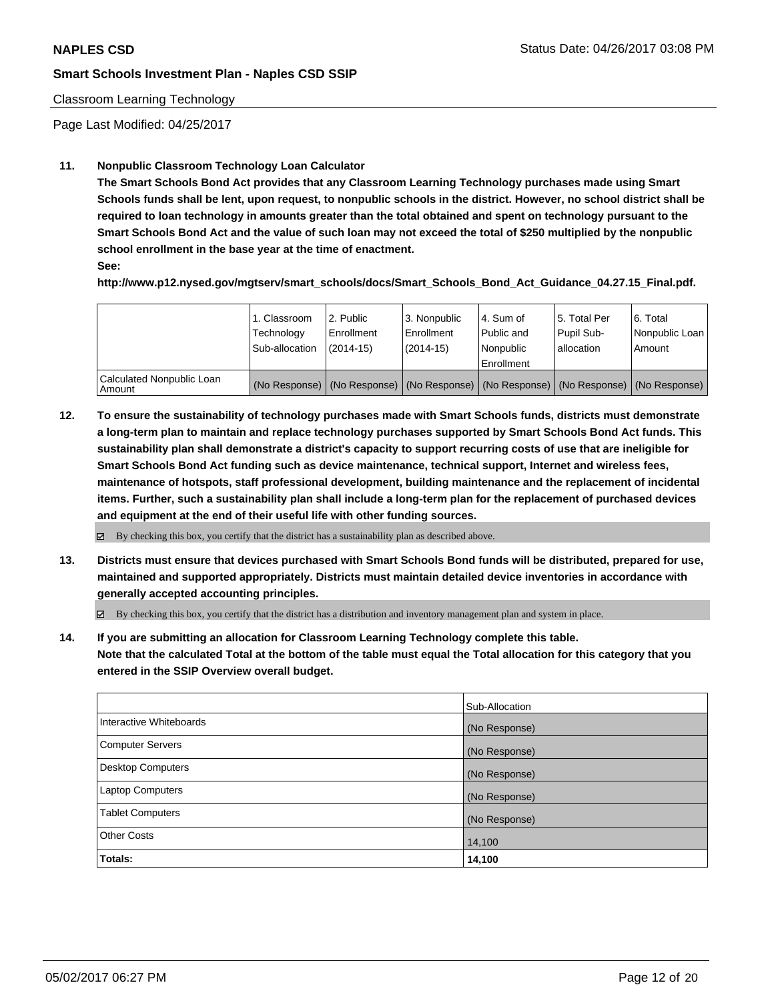#### Classroom Learning Technology

Page Last Modified: 04/25/2017

## **11. Nonpublic Classroom Technology Loan Calculator**

**The Smart Schools Bond Act provides that any Classroom Learning Technology purchases made using Smart Schools funds shall be lent, upon request, to nonpublic schools in the district. However, no school district shall be required to loan technology in amounts greater than the total obtained and spent on technology pursuant to the Smart Schools Bond Act and the value of such loan may not exceed the total of \$250 multiplied by the nonpublic school enrollment in the base year at the time of enactment.**

**See:**

**http://www.p12.nysed.gov/mgtserv/smart\_schools/docs/Smart\_Schools\_Bond\_Act\_Guidance\_04.27.15\_Final.pdf.**

|                                       | 1. Classroom<br>Technology<br>Sub-allocation | l 2. Public<br>l Enrollment<br>$(2014-15)$ | 3. Nonpublic<br>Enrollment<br>(2014-15) | 4. Sum of<br>l Public and<br>l Nonpublic<br>Enrollment                                        | 15. Total Per<br>Pupil Sub-<br>allocation | 6. Total<br>  Nonpublic Loan  <br>Amount |
|---------------------------------------|----------------------------------------------|--------------------------------------------|-----------------------------------------|-----------------------------------------------------------------------------------------------|-------------------------------------------|------------------------------------------|
| Calculated Nonpublic Loan<br>l Amount |                                              |                                            |                                         | (No Response)   (No Response)   (No Response)   (No Response)   (No Response)   (No Response) |                                           |                                          |

**12. To ensure the sustainability of technology purchases made with Smart Schools funds, districts must demonstrate a long-term plan to maintain and replace technology purchases supported by Smart Schools Bond Act funds. This sustainability plan shall demonstrate a district's capacity to support recurring costs of use that are ineligible for Smart Schools Bond Act funding such as device maintenance, technical support, Internet and wireless fees, maintenance of hotspots, staff professional development, building maintenance and the replacement of incidental items. Further, such a sustainability plan shall include a long-term plan for the replacement of purchased devices and equipment at the end of their useful life with other funding sources.**

 $\boxtimes$  By checking this box, you certify that the district has a sustainability plan as described above.

**13. Districts must ensure that devices purchased with Smart Schools Bond funds will be distributed, prepared for use, maintained and supported appropriately. Districts must maintain detailed device inventories in accordance with generally accepted accounting principles.**

 $\boxtimes$  By checking this box, you certify that the district has a distribution and inventory management plan and system in place.

**14. If you are submitting an allocation for Classroom Learning Technology complete this table. Note that the calculated Total at the bottom of the table must equal the Total allocation for this category that you entered in the SSIP Overview overall budget.**

| Sub-Allocation |
|----------------|
| (No Response)  |
| (No Response)  |
| (No Response)  |
| (No Response)  |
| (No Response)  |
| 14,100         |
| 14,100         |
|                |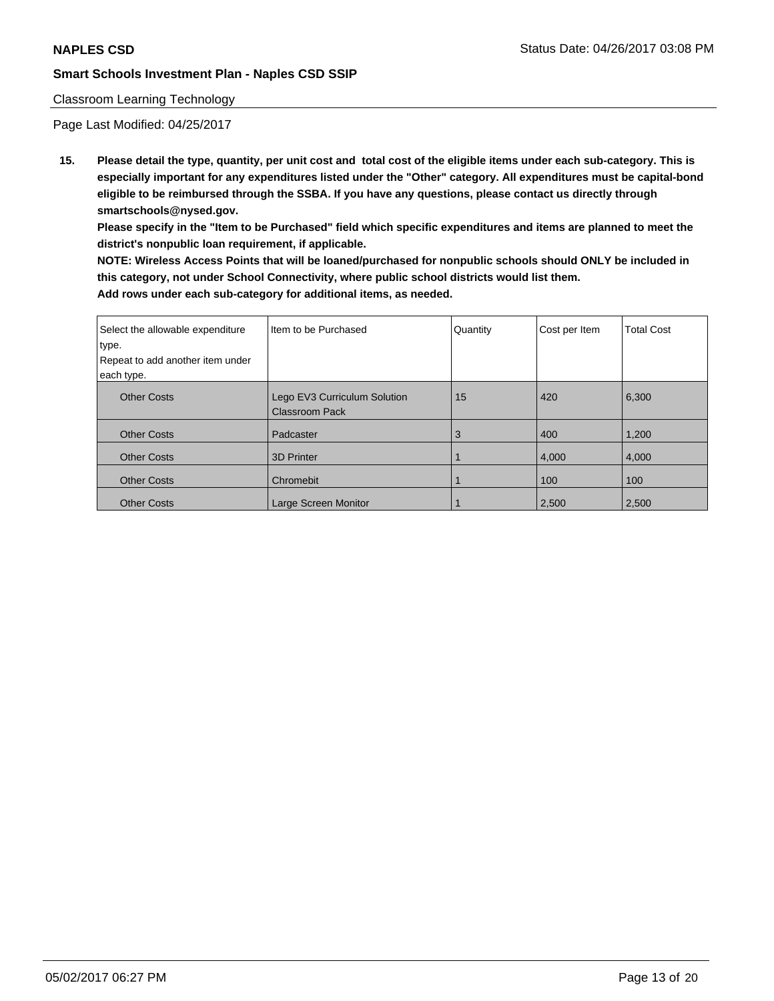#### Classroom Learning Technology

Page Last Modified: 04/25/2017

**15. Please detail the type, quantity, per unit cost and total cost of the eligible items under each sub-category. This is especially important for any expenditures listed under the "Other" category. All expenditures must be capital-bond eligible to be reimbursed through the SSBA. If you have any questions, please contact us directly through smartschools@nysed.gov.**

**Please specify in the "Item to be Purchased" field which specific expenditures and items are planned to meet the district's nonpublic loan requirement, if applicable.**

**NOTE: Wireless Access Points that will be loaned/purchased for nonpublic schools should ONLY be included in this category, not under School Connectivity, where public school districts would list them. Add rows under each sub-category for additional items, as needed.**

| Select the allowable expenditure | Item to be Purchased                                  | Quantity | Cost per Item | <b>Total Cost</b> |
|----------------------------------|-------------------------------------------------------|----------|---------------|-------------------|
| type.                            |                                                       |          |               |                   |
| Repeat to add another item under |                                                       |          |               |                   |
| each type.                       |                                                       |          |               |                   |
| <b>Other Costs</b>               | Lego EV3 Curriculum Solution<br><b>Classroom Pack</b> | 15       | 420           | 6,300             |
| <b>Other Costs</b>               | Padcaster                                             | 3        | 400           | 1,200             |
| <b>Other Costs</b>               | <b>3D Printer</b>                                     |          | 4,000         | 4,000             |
| <b>Other Costs</b>               | Chromebit                                             |          | 100           | 100               |
| <b>Other Costs</b>               | Large Screen Monitor                                  |          | 2,500         | 2,500             |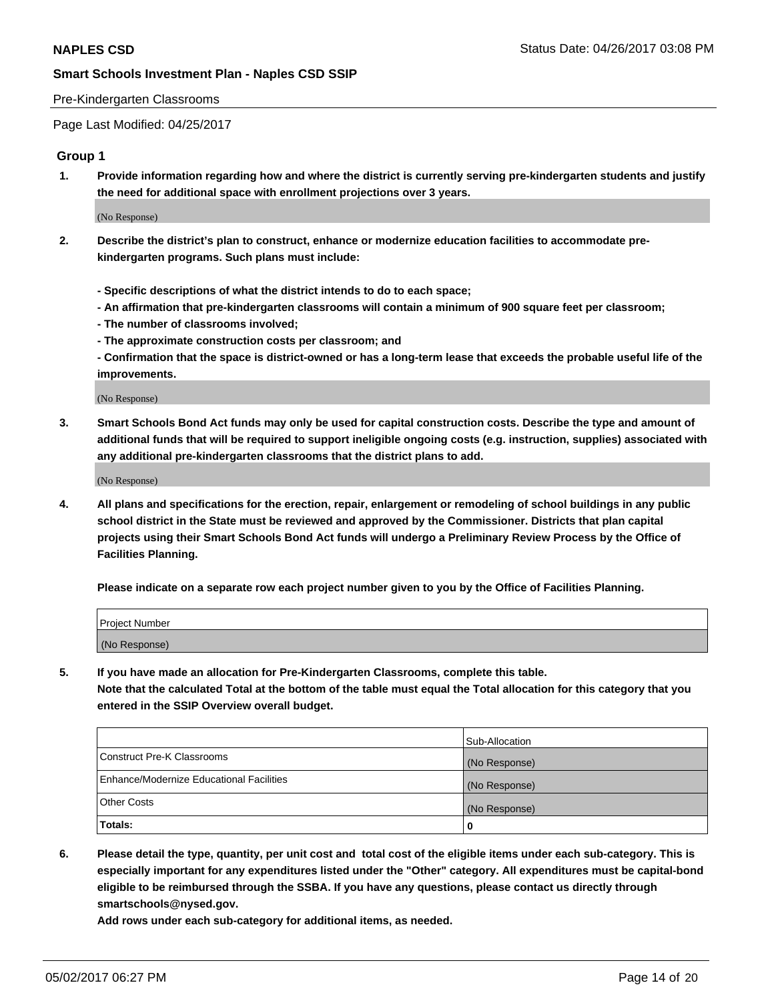#### Pre-Kindergarten Classrooms

Page Last Modified: 04/25/2017

#### **Group 1**

**1. Provide information regarding how and where the district is currently serving pre-kindergarten students and justify the need for additional space with enrollment projections over 3 years.**

(No Response)

- **2. Describe the district's plan to construct, enhance or modernize education facilities to accommodate prekindergarten programs. Such plans must include:**
	- **Specific descriptions of what the district intends to do to each space;**
	- **An affirmation that pre-kindergarten classrooms will contain a minimum of 900 square feet per classroom;**
	- **The number of classrooms involved;**
	- **The approximate construction costs per classroom; and**
	- **Confirmation that the space is district-owned or has a long-term lease that exceeds the probable useful life of the improvements.**

(No Response)

**3. Smart Schools Bond Act funds may only be used for capital construction costs. Describe the type and amount of additional funds that will be required to support ineligible ongoing costs (e.g. instruction, supplies) associated with any additional pre-kindergarten classrooms that the district plans to add.**

(No Response)

**4. All plans and specifications for the erection, repair, enlargement or remodeling of school buildings in any public school district in the State must be reviewed and approved by the Commissioner. Districts that plan capital projects using their Smart Schools Bond Act funds will undergo a Preliminary Review Process by the Office of Facilities Planning.**

**Please indicate on a separate row each project number given to you by the Office of Facilities Planning.**

| Project Number |  |
|----------------|--|
| (No Response)  |  |

**5. If you have made an allocation for Pre-Kindergarten Classrooms, complete this table. Note that the calculated Total at the bottom of the table must equal the Total allocation for this category that you entered in the SSIP Overview overall budget.**

| Totals:                                  | 0              |
|------------------------------------------|----------------|
| Other Costs                              | (No Response)  |
| Enhance/Modernize Educational Facilities | (No Response)  |
| Construct Pre-K Classrooms               | (No Response)  |
|                                          | Sub-Allocation |

**6. Please detail the type, quantity, per unit cost and total cost of the eligible items under each sub-category. This is especially important for any expenditures listed under the "Other" category. All expenditures must be capital-bond eligible to be reimbursed through the SSBA. If you have any questions, please contact us directly through smartschools@nysed.gov.**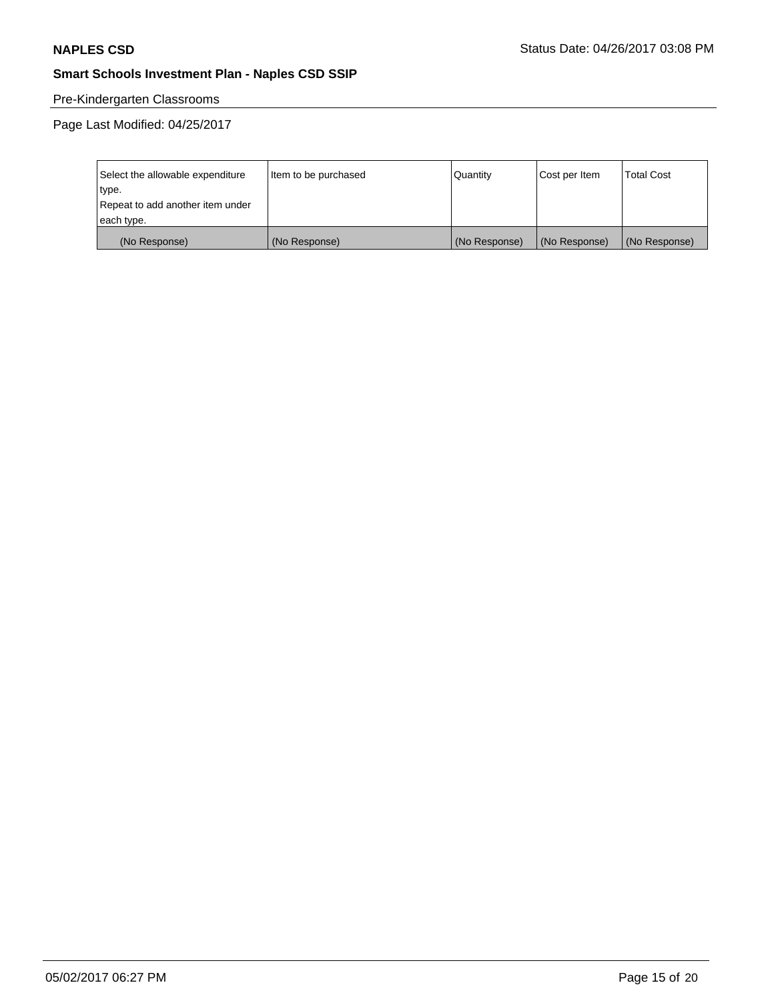# Pre-Kindergarten Classrooms

| Select the allowable expenditure | Item to be purchased | Quantity      | Cost per Item | <b>Total Cost</b> |
|----------------------------------|----------------------|---------------|---------------|-------------------|
| type.                            |                      |               |               |                   |
| Repeat to add another item under |                      |               |               |                   |
| each type.                       |                      |               |               |                   |
| (No Response)                    | (No Response)        | (No Response) | (No Response) | (No Response)     |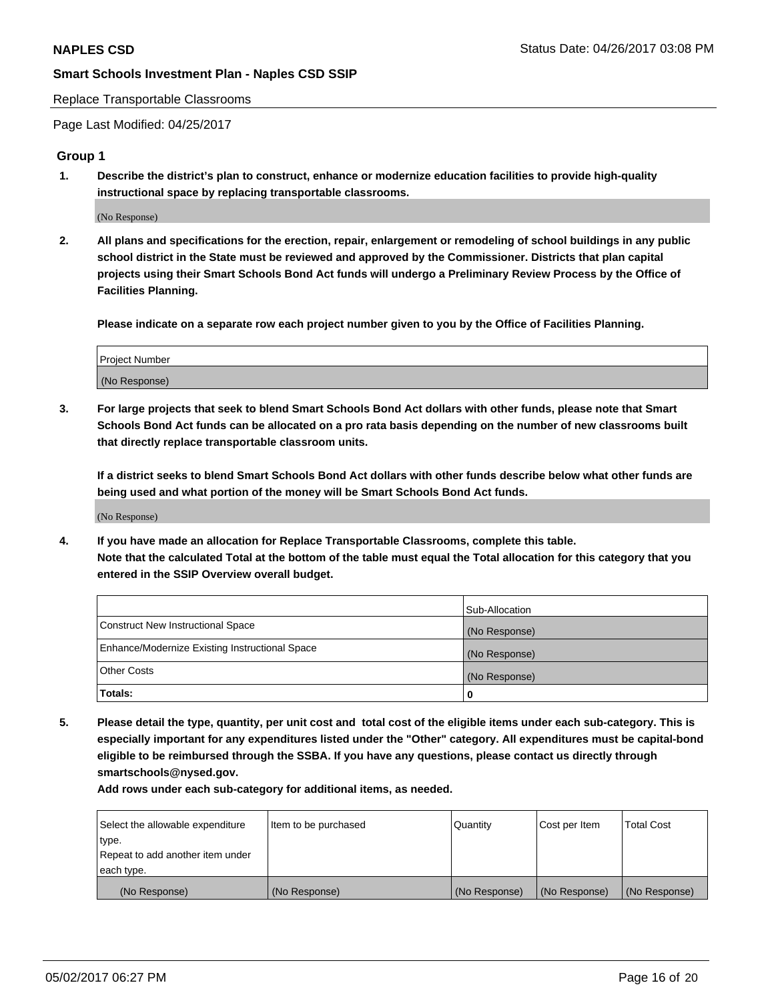Replace Transportable Classrooms

Page Last Modified: 04/25/2017

#### **Group 1**

**1. Describe the district's plan to construct, enhance or modernize education facilities to provide high-quality instructional space by replacing transportable classrooms.**

(No Response)

**2. All plans and specifications for the erection, repair, enlargement or remodeling of school buildings in any public school district in the State must be reviewed and approved by the Commissioner. Districts that plan capital projects using their Smart Schools Bond Act funds will undergo a Preliminary Review Process by the Office of Facilities Planning.**

**Please indicate on a separate row each project number given to you by the Office of Facilities Planning.**

| Project Number |  |
|----------------|--|
| (No Response)  |  |

**3. For large projects that seek to blend Smart Schools Bond Act dollars with other funds, please note that Smart Schools Bond Act funds can be allocated on a pro rata basis depending on the number of new classrooms built that directly replace transportable classroom units.**

**If a district seeks to blend Smart Schools Bond Act dollars with other funds describe below what other funds are being used and what portion of the money will be Smart Schools Bond Act funds.**

(No Response)

**4. If you have made an allocation for Replace Transportable Classrooms, complete this table. Note that the calculated Total at the bottom of the table must equal the Total allocation for this category that you entered in the SSIP Overview overall budget.**

|                                                | Sub-Allocation |
|------------------------------------------------|----------------|
| Construct New Instructional Space              | (No Response)  |
| Enhance/Modernize Existing Instructional Space | (No Response)  |
| Other Costs                                    | (No Response)  |
| Totals:                                        | $\Omega$       |

**5. Please detail the type, quantity, per unit cost and total cost of the eligible items under each sub-category. This is especially important for any expenditures listed under the "Other" category. All expenditures must be capital-bond eligible to be reimbursed through the SSBA. If you have any questions, please contact us directly through smartschools@nysed.gov.**

| Select the allowable expenditure | Item to be purchased | Quantity      | Cost per Item | <b>Total Cost</b> |
|----------------------------------|----------------------|---------------|---------------|-------------------|
| type.                            |                      |               |               |                   |
| Repeat to add another item under |                      |               |               |                   |
| each type.                       |                      |               |               |                   |
| (No Response)                    | (No Response)        | (No Response) | (No Response) | (No Response)     |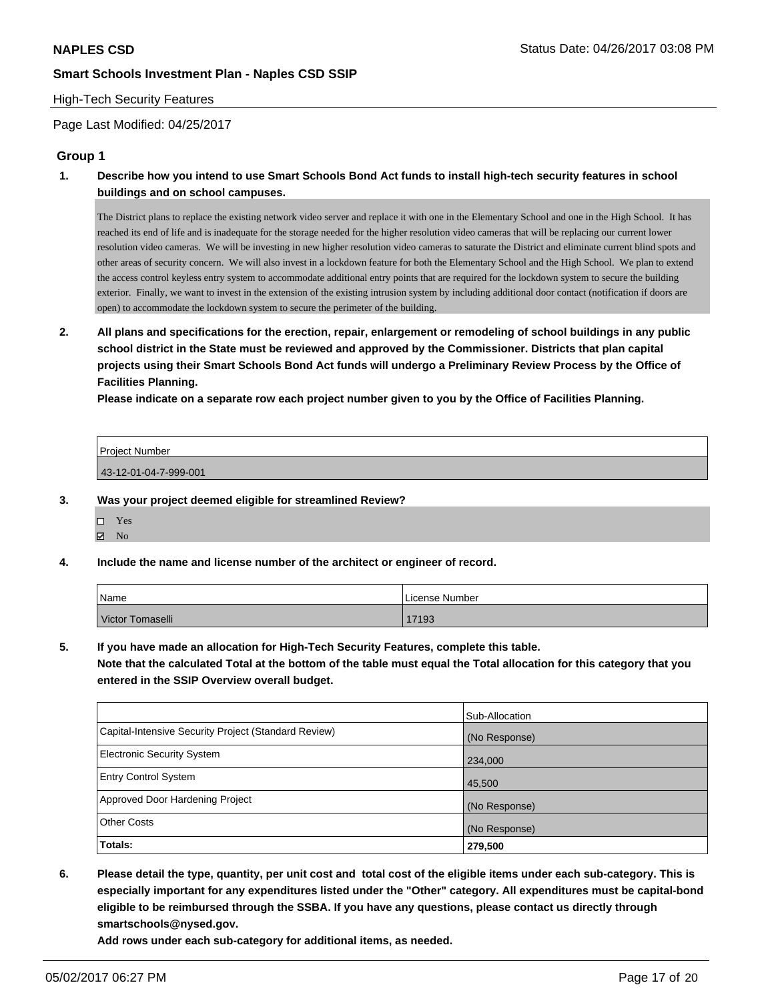#### High-Tech Security Features

Page Last Modified: 04/25/2017

#### **Group 1**

**1. Describe how you intend to use Smart Schools Bond Act funds to install high-tech security features in school buildings and on school campuses.**

The District plans to replace the existing network video server and replace it with one in the Elementary School and one in the High School. It has reached its end of life and is inadequate for the storage needed for the higher resolution video cameras that will be replacing our current lower resolution video cameras. We will be investing in new higher resolution video cameras to saturate the District and eliminate current blind spots and other areas of security concern. We will also invest in a lockdown feature for both the Elementary School and the High School. We plan to extend the access control keyless entry system to accommodate additional entry points that are required for the lockdown system to secure the building exterior. Finally, we want to invest in the extension of the existing intrusion system by including additional door contact (notification if doors are open) to accommodate the lockdown system to secure the perimeter of the building.

**2. All plans and specifications for the erection, repair, enlargement or remodeling of school buildings in any public school district in the State must be reviewed and approved by the Commissioner. Districts that plan capital projects using their Smart Schools Bond Act funds will undergo a Preliminary Review Process by the Office of Facilities Planning.** 

**Please indicate on a separate row each project number given to you by the Office of Facilities Planning.**

| Project Number        |  |
|-----------------------|--|
| 43-12-01-04-7-999-001 |  |

- **3. Was your project deemed eligible for streamlined Review?**
	- □ Yes
	- $\boxtimes$  No
- **4. Include the name and license number of the architect or engineer of record.**

| Name             | l License Number |
|------------------|------------------|
| Victor Tomaselli | 17193            |

**5. If you have made an allocation for High-Tech Security Features, complete this table.**

**Note that the calculated Total at the bottom of the table must equal the Total allocation for this category that you entered in the SSIP Overview overall budget.**

|                                                      | Sub-Allocation |
|------------------------------------------------------|----------------|
| Capital-Intensive Security Project (Standard Review) | (No Response)  |
| <b>Electronic Security System</b>                    | 234,000        |
| <b>Entry Control System</b>                          | 45,500         |
| Approved Door Hardening Project                      | (No Response)  |
| <b>Other Costs</b>                                   | (No Response)  |
| Totals:                                              | 279,500        |

**6. Please detail the type, quantity, per unit cost and total cost of the eligible items under each sub-category. This is especially important for any expenditures listed under the "Other" category. All expenditures must be capital-bond eligible to be reimbursed through the SSBA. If you have any questions, please contact us directly through smartschools@nysed.gov.**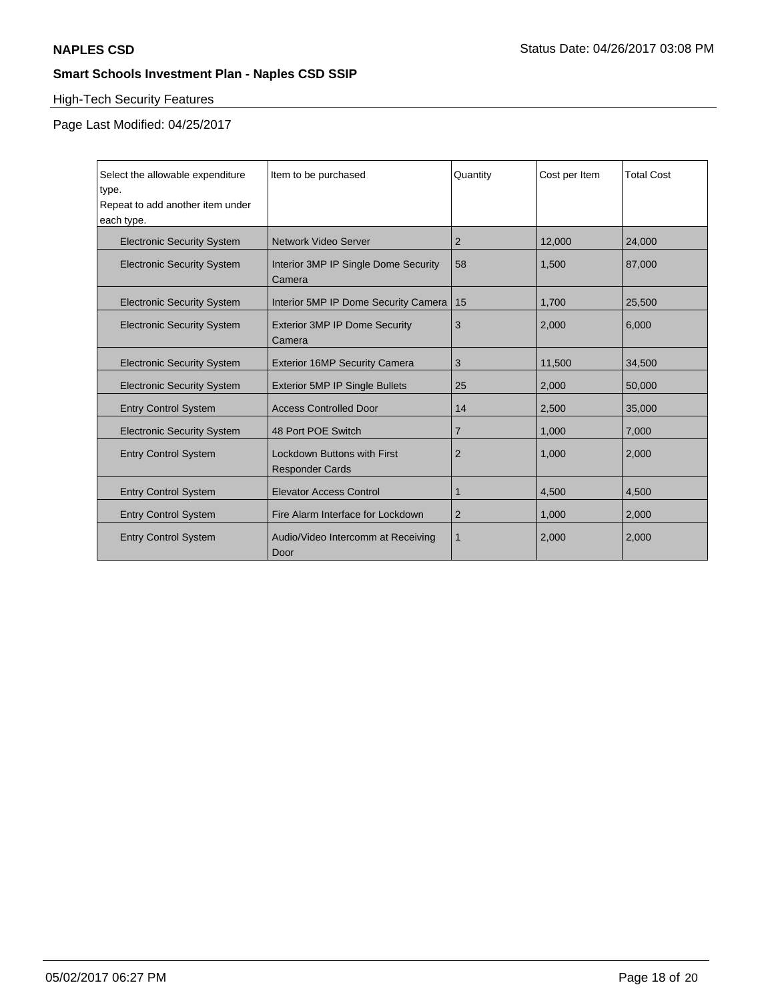# High-Tech Security Features

| Select the allowable expenditure<br>type.<br>Repeat to add another item under<br>each type. | Item to be purchased                                  | Quantity       | Cost per Item | <b>Total Cost</b> |
|---------------------------------------------------------------------------------------------|-------------------------------------------------------|----------------|---------------|-------------------|
| <b>Electronic Security System</b>                                                           | Network Video Server                                  | 2              | 12,000        | 24,000            |
| <b>Electronic Security System</b>                                                           | Interior 3MP IP Single Dome Security<br>Camera        | 58             | 1.500         | 87,000            |
| <b>Electronic Security System</b>                                                           | Interior 5MP IP Dome Security Camera                  | 15             | 1,700         | 25,500            |
| <b>Electronic Security System</b>                                                           | <b>Exterior 3MP IP Dome Security</b><br>Camera        | 3              | 2,000         | 6.000             |
| <b>Electronic Security System</b>                                                           | <b>Exterior 16MP Security Camera</b>                  | 3              | 11,500        | 34,500            |
| <b>Electronic Security System</b>                                                           | <b>Exterior 5MP IP Single Bullets</b>                 | 25             | 2,000         | 50,000            |
| <b>Entry Control System</b>                                                                 | <b>Access Controlled Door</b>                         | 14             | 2,500         | 35,000            |
| <b>Electronic Security System</b>                                                           | 48 Port POE Switch                                    | $\overline{7}$ | 1,000         | 7,000             |
| <b>Entry Control System</b>                                                                 | Lockdown Buttons with First<br><b>Responder Cards</b> | $\overline{2}$ | 1,000         | 2,000             |
| <b>Entry Control System</b>                                                                 | <b>Elevator Access Control</b>                        | 1              | 4,500         | 4,500             |
| <b>Entry Control System</b>                                                                 | Fire Alarm Interface for Lockdown                     | 2              | 1,000         | 2,000             |
| <b>Entry Control System</b>                                                                 | Audio/Video Intercomm at Receiving<br>Door            | 1              | 2,000         | 2,000             |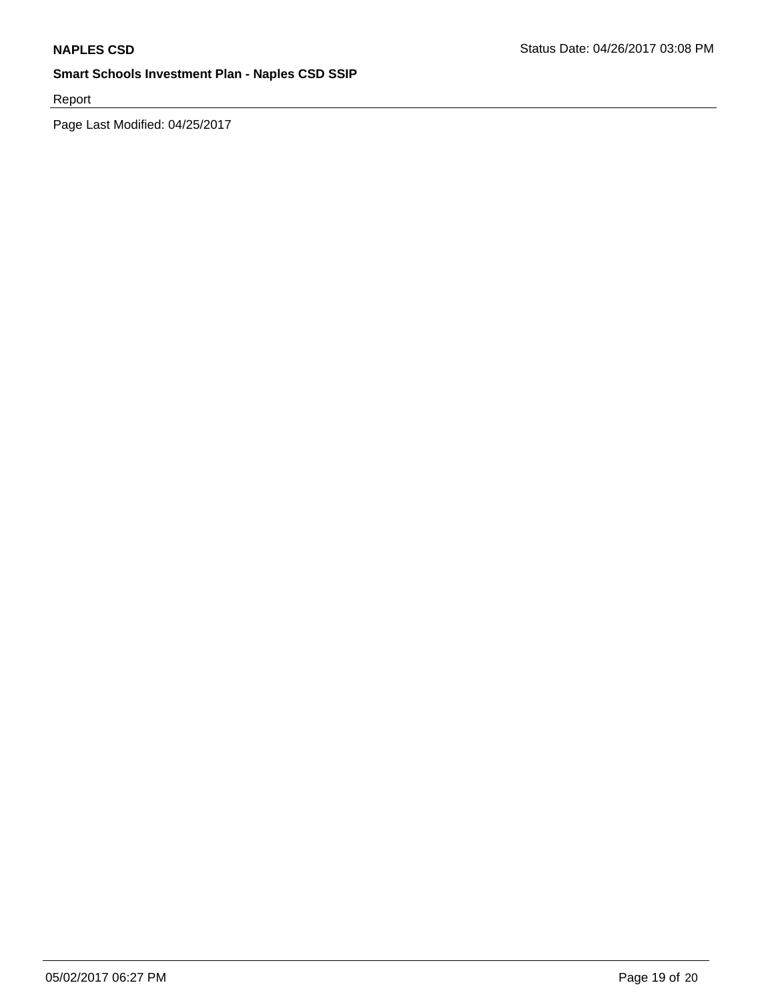Report